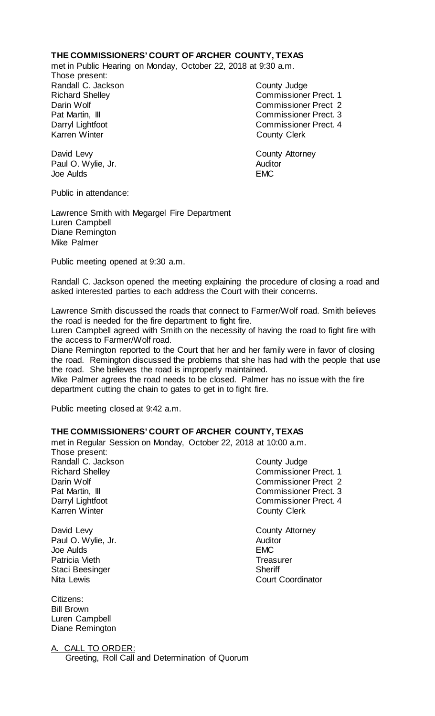## **THE COMMISSIONERS' COURT OF ARCHER COUNTY, TEXAS**

met in Public Hearing on Monday, October 22, 2018 at 9:30 a.m.

Those present: Randall C. Jackson County Judge

Richard Shelley Commissioner Prect. 1 Darin Wolf Commissioner Prect 2 Pat Martin, III Commissioner Prect. 3 Darryl Lightfoot **Commissioner Prect. 4**<br>
Karren Winter **County County Clerk County Clerk** 

David Levy **County Attorney** Paul O. Wylie, Jr. **Auditor** Joe Aulds EMC

Public in attendance:

Lawrence Smith with Megargel Fire Department Luren Campbell Diane Remington Mike Palmer

Public meeting opened at 9:30 a.m.

Randall C. Jackson opened the meeting explaining the procedure of closing a road and asked interested parties to each address the Court with their concerns.

Lawrence Smith discussed the roads that connect to Farmer/Wolf road. Smith believes the road is needed for the fire department to fight fire.

Luren Campbell agreed with Smith on the necessity of having the road to fight fire with the access to Farmer/Wolf road.

Diane Remington reported to the Court that her and her family were in favor of closing the road. Remington discussed the problems that she has had with the people that use the road. She believes the road is improperly maintained.

Mike Palmer agrees the road needs to be closed. Palmer has no issue with the fire department cutting the chain to gates to get in to fight fire.

Public meeting closed at 9:42 a.m.

# **THE COMMISSIONERS' COURT OF ARCHER COUNTY, TEXAS**

met in Regular Session on Monday, October 22, 2018 at 10:00 a.m. Those present: Randall C. Jackson County Judge Richard Shelley **Commissioner Prect. 1** Darin Wolf Commissioner Prect 2

Karren Winter **County Clerk** 

Paul O. Wylie, Jr. (2008) 2008 - Auditor Auditor Auditor Auditor Auditor Auditor Auditor Auditor Auditor Auditor Auditor Auditor Auditor Auditor Auditor Auditor Auditor Auditor Auditor Auditor Auditor Auditor Auditor Audit Joe Aulds Patricia Vieth **Treasurer** Treasurer Staci Beesinger Sheriff<br>
Nita Lewis Court (Court Court Court Court Court Court Court Court Court Court Court Court Court Court Court Court Court Court Court Court Court Court Court Court Court Court Court Court Court Court

Citizens: Bill Brown Luren Campbell Diane Remington

A. CALL TO ORDER:

Greeting, Roll Call and Determination of Quorum

- Pat Martin, III Commissioner Prect. 3 Darryl Lightfoot Commissioner Prect. 4
- David Levy<br>
Paul O. Wylie, Jr. (2008) 2008 2009 2011 2022 2023 2024 2024 2022 2023 2024 2022 2023 2024 2022 2023 2024 20<br>
Auditor **Court Coordinator**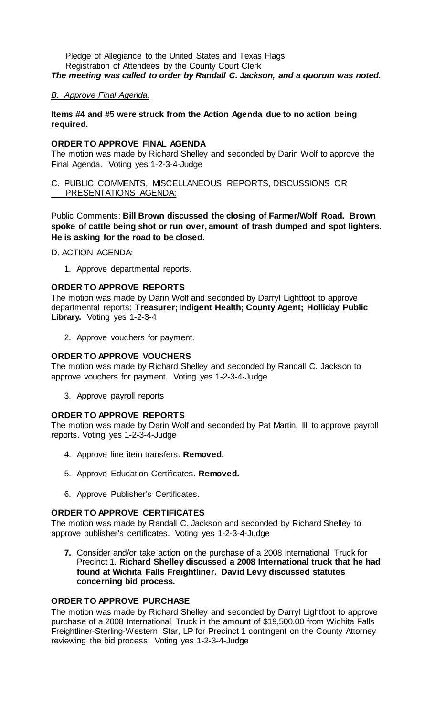Pledge of Allegiance to the United States and Texas Flags Registration of Attendees by the County Court Clerk *The meeting was called to order by Randall C. Jackson, and a quorum was noted.*

### *B. Approve Final Agenda.*

## **Items #4 and #5 were struck from the Action Agenda due to no action being required.**

### **ORDER TO APPROVE FINAL AGENDA**

The motion was made by Richard Shelley and seconded by Darin Wolf to approve the Final Agenda. Voting yes 1-2-3-4-Judge

### C. PUBLIC COMMENTS, MISCELLANEOUS REPORTS, DISCUSSIONS OR PRESENTATIONS AGENDA:

Public Comments: **Bill Brown discussed the closing of Farmer/Wolf Road. Brown spoke of cattle being shot or run over, amount of trash dumped and spot lighters. He is asking for the road to be closed.**

D. ACTION AGENDA:

1. Approve departmental reports.

## **ORDER TO APPROVE REPORTS**

The motion was made by Darin Wolf and seconded by Darryl Lightfoot to approve departmental reports: **Treasurer; Indigent Health; County Agent; Holliday Public Library.** Voting yes 1-2-3-4

2. Approve vouchers for payment.

## **ORDER TO APPROVE VOUCHERS**

The motion was made by Richard Shelley and seconded by Randall C. Jackson to approve vouchers for payment. Voting yes 1-2-3-4-Judge

3. Approve payroll reports

# **ORDER TO APPROVE REPORTS**

The motion was made by Darin Wolf and seconded by Pat Martin, III to approve payroll reports. Voting yes 1-2-3-4-Judge

- 4. Approve line item transfers. **Removed.**
- 5. Approve Education Certificates. **Removed.**
- 6. Approve Publisher's Certificates.

# **ORDER TO APPROVE CERTIFICATES**

The motion was made by Randall C. Jackson and seconded by Richard Shelley to approve publisher's certificates. Voting yes 1-2-3-4-Judge

**7.** Consider and/or take action on the purchase of a 2008 International Truck for Precinct 1. **Richard Shelley discussed a 2008 International truck that he had found at Wichita Falls Freightliner. David Levy discussed statutes concerning bid process.**

# **ORDER TO APPROVE PURCHASE**

The motion was made by Richard Shelley and seconded by Darryl Lightfoot to approve purchase of a 2008 International Truck in the amount of \$19,500.00 from Wichita Falls Freightliner-Sterling-Western Star, LP for Precinct 1 contingent on the County Attorney reviewing the bid process. Voting yes 1-2-3-4-Judge